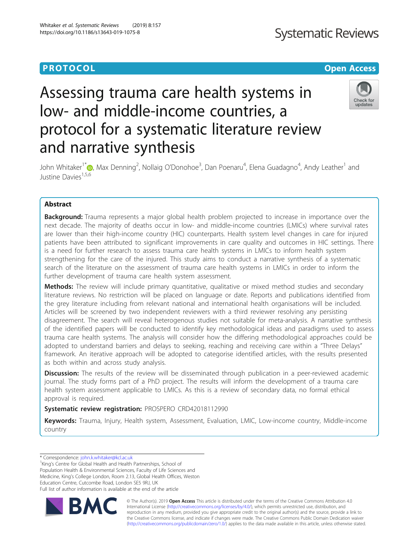## **PROTOCOL CONSUMING THE CONSUMING TEACHER CONSUMING THE CONSUMING TEACHER CONSUMING THE CONSUMING TEACHER CONSUMING**

# Assessing trauma care health systems in low- and middle-income countries, a protocol for a systematic literature review and narrative synthesis



John Whitaker<sup>1[\\*](http://orcid.org/0000-0001-5877-4496)</sup>®, Max Denning<sup>2</sup>, Nollaig O'Donohoe<sup>3</sup>, Dan Poenaru<sup>4</sup>, Elena Guadagno<sup>4</sup>, Andy Leather<sup>1</sup> and Justine Davies<sup>1,5,6</sup>

### Abstract

**Background:** Trauma represents a major global health problem projected to increase in importance over the next decade. The majority of deaths occur in low- and middle-income countries (LMICs) where survival rates are lower than their high-income country (HIC) counterparts. Health system level changes in care for injured patients have been attributed to significant improvements in care quality and outcomes in HIC settings. There is a need for further research to assess trauma care health systems in LMICs to inform health system strengthening for the care of the injured. This study aims to conduct a narrative synthesis of a systematic search of the literature on the assessment of trauma care health systems in LMICs in order to inform the further development of trauma care health system assessment.

Methods: The review will include primary quantitative, qualitative or mixed method studies and secondary literature reviews. No restriction will be placed on language or date. Reports and publications identified from the grey literature including from relevant national and international health organisations will be included. Articles will be screened by two independent reviewers with a third reviewer resolving any persisting disagreement. The search will reveal heterogenous studies not suitable for meta-analysis. A narrative synthesis of the identified papers will be conducted to identify key methodological ideas and paradigms used to assess trauma care health systems. The analysis will consider how the differing methodological approaches could be adopted to understand barriers and delays to seeking, reaching and receiving care within a "Three Delays" framework. An iterative approach will be adopted to categorise identified articles, with the results presented as both within and across study analysis.

**Discussion:** The results of the review will be disseminated through publication in a peer-reviewed academic journal. The study forms part of a PhD project. The results will inform the development of a trauma care health system assessment applicable to LMICs. As this is a review of secondary data, no formal ethical approval is required.

Systematic review registration: PROSPERO CRD42018112990

Keywords: Trauma, Injury, Health system, Assessment, Evaluation, LMIC, Low-income country, Middle-income country

<sup>1</sup>King's Centre for Global Health and Health Partnerships, School of Population Health & Environmental Sciences, Faculty of Life Sciences and Medicine, King's College London, Room 2.13, Global Health Offices, Weston Education Centre, Cutcombe Road, London SE5 9RJ, UK Full list of author information is available at the end of the article



© The Author(s). 2019 **Open Access** This article is distributed under the terms of the Creative Commons Attribution 4.0 International License [\(http://creativecommons.org/licenses/by/4.0/](http://creativecommons.org/licenses/by/4.0/)), which permits unrestricted use, distribution, and reproduction in any medium, provided you give appropriate credit to the original author(s) and the source, provide a link to the Creative Commons license, and indicate if changes were made. The Creative Commons Public Domain Dedication waiver [\(http://creativecommons.org/publicdomain/zero/1.0/](http://creativecommons.org/publicdomain/zero/1.0/)) applies to the data made available in this article, unless otherwise stated.

<sup>\*</sup> Correspondence: [john.k.whitaker@kcl.ac.uk](mailto:john.k.whitaker@kcl.ac.uk) <sup>1</sup>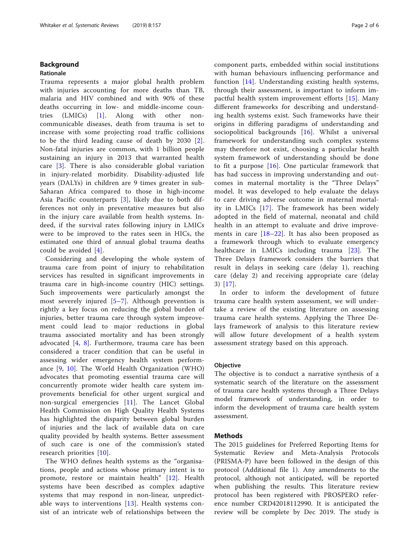#### Background

#### Rationale

Trauma represents a major global health problem with injuries accounting for more deaths than TB, malaria and HIV combined and with 90% of these deaths occurring in low- and middle-income countries (LMICs) [[1\]](#page-5-0). Along with other noncommunicable diseases, death from trauma is set to increase with some projecting road traffic collisions to be the third leading cause of death by 2030 [[2](#page-5-0)]. Non-fatal injuries are common, with 1 billion people sustaining an injury in 2013 that warranted health care [[3](#page-5-0)]. There is also considerable global variation in injury-related morbidity. Disability-adjusted life years (DALYs) in children are 9 times greater in sub-Saharan Africa compared to those in high-income Asia Pacific counterparts [[3\]](#page-5-0), likely due to both differences not only in preventative measures but also in the injury care available from health systems. Indeed, if the survival rates following injury in LMICs were to be improved to the rates seen in HICs, the estimated one third of annual global trauma deaths could be avoided [\[4](#page-5-0)].

Considering and developing the whole system of trauma care from point of injury to rehabilitation services has resulted in significant improvements in trauma care in high-income country (HIC) settings. Such improvements were particularly amongst the most severely injured [[5](#page-5-0)–[7\]](#page-5-0). Although prevention is rightly a key focus on reducing the global burden of injuries, better trauma care through system improvement could lead to major reductions in global trauma associated mortality and has been strongly advocated [[4,](#page-5-0) [8\]](#page-5-0). Furthermore, trauma care has been considered a tracer condition that can be useful in assessing wider emergency health system performance [\[9](#page-5-0), [10\]](#page-5-0). The World Health Organization (WHO) advocates that promoting essential trauma care will concurrently promote wider health care system improvements beneficial for other urgent surgical and non-surgical emergencies [[11\]](#page-5-0). The Lancet Global Health Commission on High Quality Health Systems has highlighted the disparity between global burden of injuries and the lack of available data on care quality provided by health systems. Better assessment of such care is one of the commission's stated research priorities [\[10](#page-5-0)].

The WHO defines health systems as the "organisations, people and actions whose primary intent is to promote, restore or maintain health" [\[12\]](#page-5-0). Health systems have been described as complex adaptive systems that may respond in non-linear, unpredictable ways to interventions  $[13]$  $[13]$ . Health systems consist of an intricate web of relationships between the component parts, embedded within social institutions with human behaviours influencing performance and function [[14](#page-5-0)]. Understanding existing health systems, through their assessment, is important to inform impactful health system improvement efforts [[15](#page-5-0)]. Many different frameworks for describing and understanding health systems exist. Such frameworks have their origins in differing paradigms of understanding and sociopolitical backgrounds [\[16\]](#page-5-0). Whilst a universal framework for understanding such complex systems may therefore not exist, choosing a particular health system framework of understanding should be done to fit a purpose  $[16]$  $[16]$  $[16]$ . One particular framework that has had success in improving understanding and outcomes in maternal mortality is the "Three Delays" model. It was developed to help evaluate the delays to care driving adverse outcome in maternal mortality in LMICs [[17\]](#page-5-0). The framework has been widely adopted in the field of maternal, neonatal and child health in an attempt to evaluate and drive improvements in care [[18](#page-5-0)–[22](#page-5-0)]. It has also been proposed as a framework through which to evaluate emergency healthcare in LMICs including trauma [\[23\]](#page-5-0). The Three Delays framework considers the barriers that result in delays in seeking care (delay 1), reaching care (delay 2) and receiving appropriate care (delay 3) [\[17\]](#page-5-0).

In order to inform the development of future trauma care health system assessment, we will undertake a review of the existing literature on assessing trauma care health systems. Applying the Three Delays framework of analysis to this literature review will allow future development of a health system assessment strategy based on this approach.

#### **Objective**

The objective is to conduct a narrative synthesis of a systematic search of the literature on the assessment of trauma care health systems through a Three Delays model framework of understanding, in order to inform the development of trauma care health system assessment.

#### Methods

The 2015 guidelines for Preferred Reporting Items for Systematic Review and Meta-Analysis Protocols (PRISMA-P) have been followed in the design of this protocol (Additional file [1](#page-4-0)). Any amendments to the protocol, although not anticipated, will be reported when publishing the results. This literature review protocol has been registered with PROSPERO reference number CRD42018112990. It is anticipated the review will be complete by Dec 2019. The study is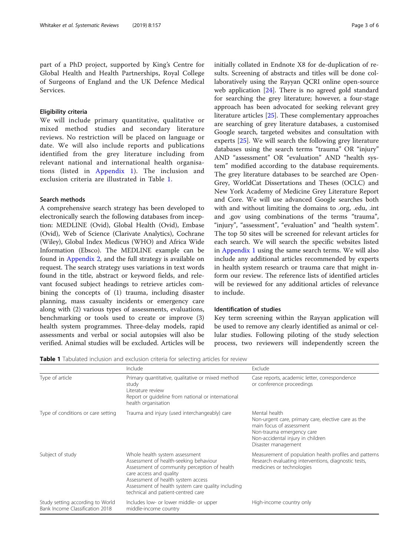part of a PhD project, supported by King's Centre for Global Health and Health Partnerships, Royal College of Surgeons of England and the UK Defence Medical Services.

#### Eligibility criteria

We will include primary quantitative, qualitative or mixed method studies and secondary literature reviews. No restriction will be placed on language or date. We will also include reports and publications identified from the grey literature including from relevant national and international health organisations (listed in [Appendix 1](#page-3-0)). The inclusion and exclusion criteria are illustrated in Table 1.

#### Search methods

A comprehensive search strategy has been developed to electronically search the following databases from inception: MEDLINE (Ovid), Global Health (Ovid), Embase (Ovid), Web of Science (Clarivate Analytics), Cochrane (Wiley), Global Index Medicus (WHO) and Africa Wide Information (Ebsco). The MEDLINE example can be found in [Appendix 2](#page-3-0), and the full strategy is available on request. The search strategy uses variations in text words found in the title, abstract or keyword fields, and relevant focused subject headings to retrieve articles combining the concepts of (1) trauma, including disaster planning, mass casualty incidents or emergency care along with (2) various types of assessments, evaluations, benchmarking or tools used to create or improve (3) health system programmes. Three-delay models, rapid assessments and verbal or social autopsies will also be verified. Animal studies will be excluded. Articles will be initially collated in Endnote X8 for de-duplication of results. Screening of abstracts and titles will be done collaboratively using the Rayyan QCRI online open-source web application [[24](#page-5-0)]. There is no agreed gold standard for searching the grey literature; however, a four-stage approach has been advocated for seeking relevant grey literature articles [\[25](#page-5-0)]. These complementary approaches are searching of grey literature databases, a customised Google search, targeted websites and consultation with experts [[25\]](#page-5-0). We will search the following grey literature databases using the search terms "trauma" OR "injury" AND "assessment" OR "evaluation" AND "health system" modified according to the database requirements. The grey literature databases to be searched are Open-Grey, WorldCat Dissertations and Theses (OCLC) and New York Academy of Medicine Grey Literature Report and Core. We will use advanced Google searches both with and without limiting the domains to .org, .edu, .int and .gov using combinations of the terms "trauma", "injury", "assessment", "evaluation" and "health system". The top 50 sites will be screened for relevant articles for each search. We will search the specific websites listed in [Appendix 1](#page-3-0) using the same search terms. We will also include any additional articles recommended by experts in health system research or trauma care that might inform our review. The reference lists of identified articles will be reviewed for any additional articles of relevance to include.

#### Identification of studies

Key term screening within the Rayyan application will be used to remove any clearly identified as animal or cellular studies. Following piloting of the study selection process, two reviewers will independently screen the

**Table 1** Tabulated inclusion and exclusion criteria for selecting articles for review

|                                                                     | Include                                                                                                                                                                                                                                                                               | Exclude                                                                                                                                                                                   |
|---------------------------------------------------------------------|---------------------------------------------------------------------------------------------------------------------------------------------------------------------------------------------------------------------------------------------------------------------------------------|-------------------------------------------------------------------------------------------------------------------------------------------------------------------------------------------|
| Type of article                                                     | Primary quantitative, qualitative or mixed method<br>study<br>Literature review<br>Report or quideline from national or international<br>health organisation                                                                                                                          | Case reports, academic letter, correspondence<br>or conference proceedings                                                                                                                |
| Type of conditions or care setting                                  | Trauma and injury (used interchangeably) care                                                                                                                                                                                                                                         | Mental health<br>Non-urgent care, primary care, elective care as the<br>main focus of assessment<br>Non-trauma emergency care<br>Non-accidental injury in children<br>Disaster management |
| Subject of study                                                    | Whole health system assessment<br>Assessment of health-seeking behaviour<br>Assessment of community perception of health<br>care access and quality<br>Assessment of health system access<br>Assessment of health system care quality including<br>technical and patient-centred care | Measurement of population health profiles and patterns<br>Research evaluating interventions, diagnostic tests,<br>medicines or technologies                                               |
| Study setting according to World<br>Bank Income Classification 2018 | Includes low- or lower middle- or upper<br>middle-income country                                                                                                                                                                                                                      | High-income country only                                                                                                                                                                  |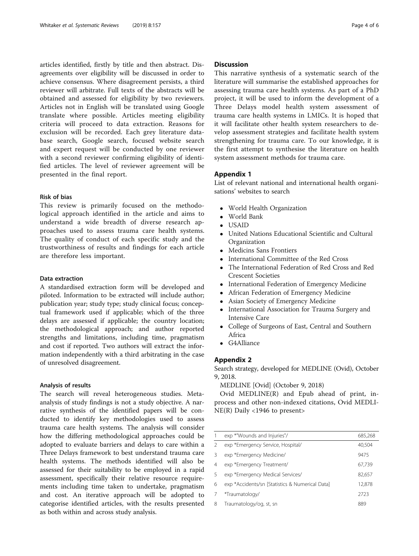<span id="page-3-0"></span>articles identified, firstly by title and then abstract. Disagreements over eligibility will be discussed in order to achieve consensus. Where disagreement persists, a third reviewer will arbitrate. Full texts of the abstracts will be obtained and assessed for eligibility by two reviewers. Articles not in English will be translated using Google translate where possible. Articles meeting eligibility criteria will proceed to data extraction. Reasons for exclusion will be recorded. Each grey literature database search, Google search, focused website search and expert request will be conducted by one reviewer with a second reviewer confirming eligibility of identified articles. The level of reviewer agreement will be presented in the final report.

#### Risk of bias

This review is primarily focused on the methodological approach identified in the article and aims to understand a wide breadth of diverse research approaches used to assess trauma care health systems. The quality of conduct of each specific study and the trustworthiness of results and findings for each article are therefore less important.

#### Data extraction

A standardised extraction form will be developed and piloted. Information to be extracted will include author; publication year; study type; study clinical focus; conceptual framework used if applicable; which of the three delays are assessed if applicable; the country location; the methodological approach; and author reported strengths and limitations, including time, pragmatism and cost if reported. Two authors will extract the information independently with a third arbitrating in the case of unresolved disagreement.

#### Analysis of results

The search will reveal heterogeneous studies. Metaanalysis of study findings is not a study objective. A narrative synthesis of the identified papers will be conducted to identify key methodologies used to assess trauma care health systems. The analysis will consider how the differing methodological approaches could be adopted to evaluate barriers and delays to care within a Three Delays framework to best understand trauma care health systems. The methods identified will also be assessed for their suitability to be employed in a rapid assessment, specifically their relative resource requirements including time taken to undertake, pragmatism and cost. An iterative approach will be adopted to categorise identified articles, with the results presented as both within and across study analysis.

#### **Discussion**

This narrative synthesis of a systematic search of the literature will summarise the established approaches for assessing trauma care health systems. As part of a PhD project, it will be used to inform the development of a Three Delays model health system assessment of trauma care health systems in LMICs. It is hoped that it will facilitate other health system researchers to develop assessment strategies and facilitate health system strengthening for trauma care. To our knowledge, it is the first attempt to synthesise the literature on health system assessment methods for trauma care.

#### Appendix 1

List of relevant national and international health organisations' websites to search

- World Health Organization
- World Bank
- $\bullet$  USAID
- United Nations Educational Scientific and Cultural Organization
- Medicins Sans Frontiers
- International Committee of the Red Cross
- The International Federation of Red Cross and Red Crescent Societies
- International Federation of Emergency Medicine
- African Federation of Emergency Medicine
- Asian Society of Emergency Medicine
- International Association for Trauma Surgery and Intensive Care
- College of Surgeons of East, Central and Southern Africa
- G4Alliance

#### Appendix 2

Search strategy, developed for MEDLINE (Ovid), October 9, 2018.

MEDLINE [Ovid] (October 9, 2018)

Ovid MEDLINE(R) and Epub ahead of print, inprocess and other non-indexed citations, Ovid MEDLI-NE(R) Daily <1946 to present>

|   | exp *"Wounds and Injuries"/                     | 685,268 |
|---|-------------------------------------------------|---------|
| 2 | exp *Emergency Service, Hospital/               | 40,504  |
| 3 | exp *Emergency Medicine/                        | 9475    |
| 4 | exp *Emergency Treatment/                       | 67,739  |
| 5 | exp *Emergency Medical Services/                | 82,657  |
| 6 | exp *Accidents/sn [Statistics & Numerical Data] | 12,878  |
|   | *Traumatology/                                  | 2723    |
| 8 | Traumatology/og, st, sn                         | 889     |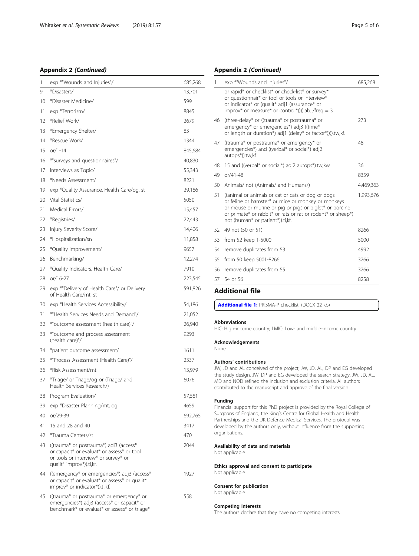#### <span id="page-4-0"></span>Appendix 2 (Continued)

| 1  | exp *"Wounds and Injuries"/                                                                                                                              | 685,268 |
|----|----------------------------------------------------------------------------------------------------------------------------------------------------------|---------|
| 9  | *Disasters/                                                                                                                                              | 13,701  |
| 10 | *Disaster Medicine/                                                                                                                                      | 599     |
| 11 | exp *Terrorism/                                                                                                                                          | 8845    |
| 12 | *Relief Work/                                                                                                                                            | 2679    |
| 13 | *Emergency Shelter/                                                                                                                                      | 83      |
| 14 | *Rescue Work/                                                                                                                                            | 1344    |
| 15 | or/1-14                                                                                                                                                  | 845,684 |
| 16 | *"surveys and questionnaires"/                                                                                                                           | 40,830  |
| 17 | Interviews as Topic/                                                                                                                                     | 55,343  |
| 18 | *Needs Assessment/                                                                                                                                       | 8221    |
| 19 | exp *Quality Assurance, Health Care/og, st                                                                                                               | 29,186  |
| 20 | Vital Statistics/                                                                                                                                        | 5050    |
| 21 | Medical Errors/                                                                                                                                          | 15,457  |
| 22 | *Registries/                                                                                                                                             | 22,443  |
| 23 | Injury Severity Score/                                                                                                                                   | 14,406  |
| 24 | *Hospitalization/sn                                                                                                                                      | 11,858  |
| 25 | *Quality Improvement/                                                                                                                                    | 9657    |
| 26 | Benchmarking/                                                                                                                                            | 12,274  |
| 27 | *Quality Indicators, Health Care/                                                                                                                        | 7910    |
| 28 | or/16-27                                                                                                                                                 | 223,545 |
| 29 | exp *"Delivery of Health Care"/ or Delivery<br>of Health Care/mt, st                                                                                     | 591,826 |
| 30 | exp *Health Services Accessibility/                                                                                                                      | 54,186  |
| 31 | *"Health Services Needs and Demand"/                                                                                                                     | 21,052  |
| 32 | *"outcome assessment (health care)"/                                                                                                                     | 26,940  |
| 33 | *"outcome and process assessment<br>(health care)"/                                                                                                      | 9293    |
| 34 | *patient outcome assessment/                                                                                                                             | 1611    |
| 35 | *"Process Assessment (Health Care)"/                                                                                                                     | 2337    |
| 36 | *Risk Assessment/mt                                                                                                                                      | 13,979  |
| 37 | *Triage/ or Triage/og or (Triage/ and<br>Health Services Research/)                                                                                      | 6076    |
| 38 | Program Evaluation/                                                                                                                                      | 57,581  |
| 39 | exp *Disaster Planning/mt, og                                                                                                                            | 4659    |
| 40 | or/29-39                                                                                                                                                 | 692,765 |
| 41 | 15 and 28 and 40                                                                                                                                         | 3417    |
| 42 | *Trauma Centers/st                                                                                                                                       | 470     |
| 43 | ((trauma* or postrauma*) adj3 (access*<br>or capacit* or evaluat* or assess* or tool<br>or tools or interview* or survey* or<br>qualit* improv*)).ti,kf. | 2044    |
| 44 | ((emergency* or emergencies*) adj3 (access*<br>or capacit* or evaluat* or assess* or qualit*<br>improv* or indicator*)).ti,kf.                           | 1927    |
| 45 | ((trauma* or postrauma* or emergency* or<br>emergencies*) adj3 (access* or capacit* or<br>benchmark* or evaluat* or assess* or triage*                   | 558     |

#### Appendix 2 (Continued)

| 1  | exp *"Wounds and Injuries"/                                                                                                                                                                                                                                            | 685,268   |
|----|------------------------------------------------------------------------------------------------------------------------------------------------------------------------------------------------------------------------------------------------------------------------|-----------|
|    | or rapid* or checklist* or check-list* or survey*<br>or questionnair* or tool or tools or interview*<br>or indicator* or (qualit* adj1 (assurance* or<br>improv* or measure* or control*)))).ab. /freq = 3                                                             |           |
| 46 | (three-delay* or ((trauma* or postrauma* or<br>emergency* or emergencies*) adj3 ((time*<br>or length or duration*) adj1 (delay* or factor*)))).tw,kf.                                                                                                                  | 273       |
| 47 | ((trauma* or postrauma* or emergency* or<br>emergencies*) and ((verbal* or social*) adj2<br>autops*)).tw,kf.                                                                                                                                                           | 48        |
| 48 | 15 and ((verbal* or social*) adj2 autops*).tw,kw.                                                                                                                                                                                                                      | 36        |
| 49 | $or/41-48$                                                                                                                                                                                                                                                             | 8359      |
| 50 | Animals/ not (Animals/ and Humans/)                                                                                                                                                                                                                                    | 4,469,363 |
| 51 | ((animal or animals or cat or cats or dog or dogs)<br>or feline or hamster* or mice or monkey or monkeys<br>or mouse or murine or pig or pigs or piglet* or porcine<br>or primate* or rabbit* or rats or rat or rodent* or sheep*)<br>not (human* or patient*)).ti,kf. | 1,993,676 |
| 52 | 49 not (50 or 51)                                                                                                                                                                                                                                                      | 8266      |
| 53 | from 52 keep 1-5000                                                                                                                                                                                                                                                    | 5000      |
| 54 | remove duplicates from 53                                                                                                                                                                                                                                              | 4992      |
| 55 | from 50 keep 5001-8266                                                                                                                                                                                                                                                 | 3266      |
| 56 | remove duplicates from 55                                                                                                                                                                                                                                              | 3266      |
| 57 | 54 or 56                                                                                                                                                                                                                                                               | 8258      |

#### Additional file

[Additional file 1:](https://doi.org/10.1186/s13643-019-1075-8) PRISMA-P checklist. (DOCX 22 kb)

#### Abbreviations

HIC: High-income country; LMIC: Low- and middle-income country

#### Acknowledgements

None

#### Authors' contributions

JW, JD and AL conceived of the project, JW, JD, AL, DP and EG developed the study design, JW, DP and EG developed the search strategy, JW, JD, AL, MD and NOD refined the inclusion and exclusion criteria. All authors contributed to the manuscript and approve of the final version.

#### Funding

Financial support for this PhD project is provided by the Royal College of Surgeons of England, the King's Centre for Global Health and Health Partnerships and the UK Defence Medical Services. The protocol was developed by the authors only, without influence from the supporting organisations.

#### Availability of data and materials

Not applicable

#### Ethics approval and consent to participate Not applicable

#### Consent for publication

Not applicable

#### Competing interests

The authors declare that they have no competing interests.